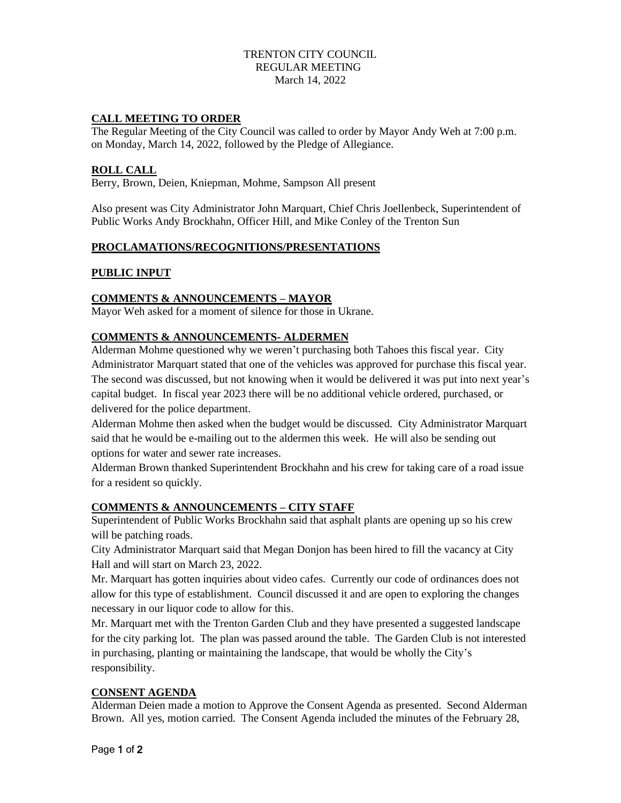## TRENTON CITY COUNCIL REGULAR MEETING March 14, 2022

## **CALL MEETING TO ORDER**

The Regular Meeting of the City Council was called to order by Mayor Andy Weh at 7:00 p.m. on Monday, March 14, 2022, followed by the Pledge of Allegiance.

#### **ROLL CALL**

Berry, Brown, Deien, Kniepman, Mohme, Sampson All present

Also present was City Administrator John Marquart, Chief Chris Joellenbeck, Superintendent of Public Works Andy Brockhahn, Officer Hill, and Mike Conley of the Trenton Sun

#### **PROCLAMATIONS/RECOGNITIONS/PRESENTATIONS**

## **PUBLIC INPUT**

## **COMMENTS & ANNOUNCEMENTS – MAYOR**

Mayor Weh asked for a moment of silence for those in Ukrane.

#### **COMMENTS & ANNOUNCEMENTS- ALDERMEN**

Alderman Mohme questioned why we weren't purchasing both Tahoes this fiscal year. City Administrator Marquart stated that one of the vehicles was approved for purchase this fiscal year. The second was discussed, but not knowing when it would be delivered it was put into next year's capital budget. In fiscal year 2023 there will be no additional vehicle ordered, purchased, or delivered for the police department.

Alderman Mohme then asked when the budget would be discussed. City Administrator Marquart said that he would be e-mailing out to the aldermen this week. He will also be sending out options for water and sewer rate increases.

Alderman Brown thanked Superintendent Brockhahn and his crew for taking care of a road issue for a resident so quickly.

#### **COMMENTS & ANNOUNCEMENTS – CITY STAFF**

Superintendent of Public Works Brockhahn said that asphalt plants are opening up so his crew will be patching roads.

City Administrator Marquart said that Megan Donjon has been hired to fill the vacancy at City Hall and will start on March 23, 2022.

Mr. Marquart has gotten inquiries about video cafes. Currently our code of ordinances does not allow for this type of establishment. Council discussed it and are open to exploring the changes necessary in our liquor code to allow for this.

Mr. Marquart met with the Trenton Garden Club and they have presented a suggested landscape for the city parking lot. The plan was passed around the table. The Garden Club is not interested in purchasing, planting or maintaining the landscape, that would be wholly the City's responsibility.

### **CONSENT AGENDA**

Alderman Deien made a motion to Approve the Consent Agenda as presented. Second Alderman Brown. All yes, motion carried. The Consent Agenda included the minutes of the February 28,